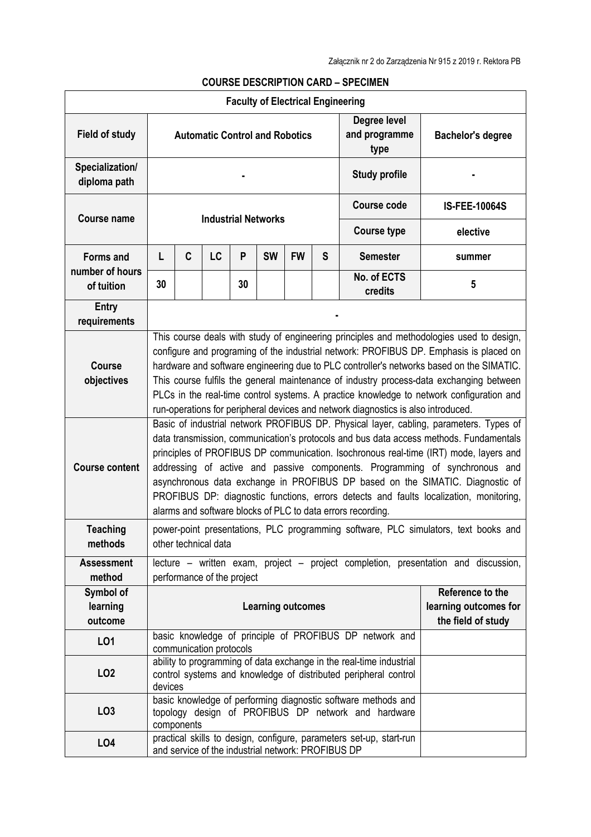|                                     |                                                                                                                                                                                                                                                                                                                                                                                                                                                                                                                                                                                                    |            |                         |    |                                                    |                    |                      | <b>COURSE DESCRIPTION CARD - SPECIMEN</b>                                                                                              |                                                                                     |
|-------------------------------------|----------------------------------------------------------------------------------------------------------------------------------------------------------------------------------------------------------------------------------------------------------------------------------------------------------------------------------------------------------------------------------------------------------------------------------------------------------------------------------------------------------------------------------------------------------------------------------------------------|------------|-------------------------|----|----------------------------------------------------|--------------------|----------------------|----------------------------------------------------------------------------------------------------------------------------------------|-------------------------------------------------------------------------------------|
|                                     |                                                                                                                                                                                                                                                                                                                                                                                                                                                                                                                                                                                                    |            |                         |    | <b>Faculty of Electrical Engineering</b>           |                    |                      |                                                                                                                                        |                                                                                     |
| <b>Field of study</b>               |                                                                                                                                                                                                                                                                                                                                                                                                                                                                                                                                                                                                    |            |                         |    | <b>Automatic Control and Robotics</b>              |                    |                      | Degree level<br>and programme<br>type                                                                                                  | <b>Bachelor's degree</b>                                                            |
| Specialization/<br>diploma path     |                                                                                                                                                                                                                                                                                                                                                                                                                                                                                                                                                                                                    |            |                         |    |                                                    |                    | <b>Study profile</b> |                                                                                                                                        |                                                                                     |
| <b>Course name</b>                  | <b>Industrial Networks</b>                                                                                                                                                                                                                                                                                                                                                                                                                                                                                                                                                                         |            |                         |    |                                                    | <b>Course code</b> | <b>IS-FEE-10064S</b> |                                                                                                                                        |                                                                                     |
|                                     |                                                                                                                                                                                                                                                                                                                                                                                                                                                                                                                                                                                                    |            |                         |    |                                                    |                    |                      | <b>Course type</b>                                                                                                                     | elective                                                                            |
| <b>Forms and</b><br>number of hours | L                                                                                                                                                                                                                                                                                                                                                                                                                                                                                                                                                                                                  | C          | <b>LC</b>               | P  | <b>SW</b>                                          | <b>FW</b>          | S                    | <b>Semester</b>                                                                                                                        | summer                                                                              |
| of tuition                          | 30                                                                                                                                                                                                                                                                                                                                                                                                                                                                                                                                                                                                 |            |                         | 30 |                                                    |                    |                      | No. of ECTS<br>credits                                                                                                                 | 5                                                                                   |
| <b>Entry</b><br>requirements        |                                                                                                                                                                                                                                                                                                                                                                                                                                                                                                                                                                                                    |            |                         |    |                                                    |                    |                      |                                                                                                                                        |                                                                                     |
| <b>Course</b><br>objectives         | This course deals with study of engineering principles and methodologies used to design,<br>configure and programing of the industrial network: PROFIBUS DP. Emphasis is placed on<br>hardware and software engineering due to PLC controller's networks based on the SIMATIC.<br>This course fulfils the general maintenance of industry process-data exchanging between<br>PLCs in the real-time control systems. A practice knowledge to network configuration and<br>run-operations for peripheral devices and network diagnostics is also introduced.                                         |            |                         |    |                                                    |                    |                      |                                                                                                                                        |                                                                                     |
| <b>Course content</b>               | Basic of industrial network PROFIBUS DP. Physical layer, cabling, parameters. Types of<br>data transmission, communication's protocols and bus data access methods. Fundamentals<br>principles of PROFIBUS DP communication. Isochronous real-time (IRT) mode, layers and<br>addressing of active and passive components. Programming of synchronous and<br>asynchronous data exchange in PROFIBUS DP based on the SIMATIC. Diagnostic of<br>PROFIBUS DP: diagnostic functions, errors detects and faults localization, monitoring,<br>alarms and software blocks of PLC to data errors recording. |            |                         |    |                                                    |                    |                      |                                                                                                                                        |                                                                                     |
| <b>Teaching</b><br>methods          |                                                                                                                                                                                                                                                                                                                                                                                                                                                                                                                                                                                                    |            | other technical data    |    |                                                    |                    |                      |                                                                                                                                        | power-point presentations, PLC programming software, PLC simulators, text books and |
| <b>Assessment</b><br>method         | lecture - written exam, project - project completion, presentation and discussion,<br>performance of the project                                                                                                                                                                                                                                                                                                                                                                                                                                                                                   |            |                         |    |                                                    |                    |                      |                                                                                                                                        |                                                                                     |
| Symbol of<br>learning<br>outcome    | Reference to the<br>learning outcomes for<br><b>Learning outcomes</b><br>the field of study                                                                                                                                                                                                                                                                                                                                                                                                                                                                                                        |            |                         |    |                                                    |                    |                      |                                                                                                                                        |                                                                                     |
| LO1                                 |                                                                                                                                                                                                                                                                                                                                                                                                                                                                                                                                                                                                    |            | communication protocols |    |                                                    |                    |                      | basic knowledge of principle of PROFIBUS DP network and                                                                                |                                                                                     |
| LO <sub>2</sub>                     | devices                                                                                                                                                                                                                                                                                                                                                                                                                                                                                                                                                                                            |            |                         |    |                                                    |                    |                      | ability to programming of data exchange in the real-time industrial<br>control systems and knowledge of distributed peripheral control |                                                                                     |
| LO <sub>3</sub>                     |                                                                                                                                                                                                                                                                                                                                                                                                                                                                                                                                                                                                    | components |                         |    |                                                    |                    |                      | basic knowledge of performing diagnostic software methods and<br>topology design of PROFIBUS DP network and hardware                   |                                                                                     |
| LO <sub>4</sub>                     |                                                                                                                                                                                                                                                                                                                                                                                                                                                                                                                                                                                                    |            |                         |    | and service of the industrial network: PROFIBUS DP |                    |                      | practical skills to design, configure, parameters set-up, start-run                                                                    |                                                                                     |